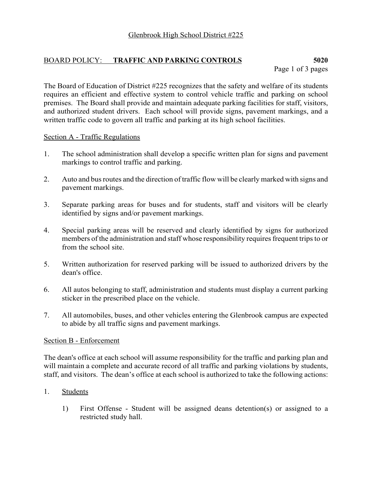# BOARD POLICY: **TRAFFIC AND PARKING CONTROLS 5020**

The Board of Education of District #225 recognizes that the safety and welfare of its students requires an efficient and effective system to control vehicle traffic and parking on school premises. The Board shall provide and maintain adequate parking facilities for staff, visitors, and authorized student drivers. Each school will provide signs, pavement markings, and a written traffic code to govern all traffic and parking at its high school facilities.

## Section A - Traffic Regulations

- 1. The school administration shall develop a specific written plan for signs and pavement markings to control traffic and parking.
- 2. Auto and bus routes and the direction of traffic flow will be clearly marked with signs and pavement markings.
- 3. Separate parking areas for buses and for students, staff and visitors will be clearly identified by signs and/or pavement markings.
- 4. Special parking areas will be reserved and clearly identified by signs for authorized members of the administration and staff whose responsibility requires frequent trips to or from the school site.
- 5. Written authorization for reserved parking will be issued to authorized drivers by the dean's office.
- 6. All autos belonging to staff, administration and students must display a current parking sticker in the prescribed place on the vehicle.
- 7. All automobiles, buses, and other vehicles entering the Glenbrook campus are expected to abide by all traffic signs and pavement markings.

### Section B - Enforcement

The dean's office at each school will assume responsibility for the traffic and parking plan and will maintain a complete and accurate record of all traffic and parking violations by students, staff, and visitors. The dean's office at each school is authorized to take the following actions:

### 1. Students

1) First Offense - Student will be assigned deans detention(s) or assigned to a restricted study hall.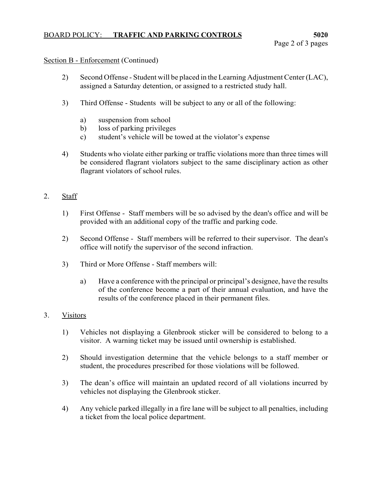### BOARD POLICY: **TRAFFIC AND PARKING CONTROLS 5020**

#### Section B - Enforcement (Continued)

- 2) Second Offense Student will be placed in the Learning Adjustment Center (LAC), assigned a Saturday detention, or assigned to a restricted study hall.
- 3) Third Offense Students will be subject to any or all of the following:
	- a) suspension from school
	- b) loss of parking privileges
	- c) student's vehicle will be towed at the violator's expense
- 4) Students who violate either parking or traffic violations more than three times will be considered flagrant violators subject to the same disciplinary action as other flagrant violators of school rules.

### 2. Staff

- 1) First Offense Staff members will be so advised by the dean's office and will be provided with an additional copy of the traffic and parking code.
- 2) Second Offense Staff members will be referred to their supervisor. The dean's office will notify the supervisor of the second infraction.
- 3) Third or More Offense Staff members will:
	- a) Have a conference with the principal or principal's designee, have the results of the conference become a part of their annual evaluation, and have the results of the conference placed in their permanent files.

### 3. Visitors

- 1) Vehicles not displaying a Glenbrook sticker will be considered to belong to a visitor. A warning ticket may be issued until ownership is established.
- 2) Should investigation determine that the vehicle belongs to a staff member or student, the procedures prescribed for those violations will be followed.
- 3) The dean's office will maintain an updated record of all violations incurred by vehicles not displaying the Glenbrook sticker.
- 4) Any vehicle parked illegally in a fire lane will be subject to all penalties, including a ticket from the local police department.